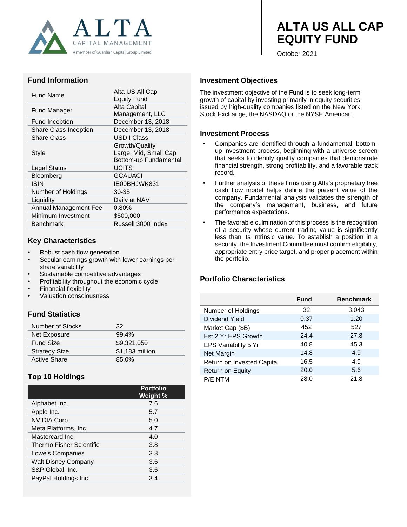

# **ALTA US ALL CAP EQUITY FUND**

October 2021

#### **Fund Information**

| Fund Name             | Alta US All Cap<br><b>Equity Fund</b> |  |
|-----------------------|---------------------------------------|--|
| Fund Manager          | Alta Capital                          |  |
|                       | Management, LLC                       |  |
| <b>Fund Inception</b> | December 13, 2018                     |  |
| Share Class Inception | December 13, 2018                     |  |
| <b>Share Class</b>    | USD I Class                           |  |
|                       | Growth/Quality                        |  |
| Style                 | Large, Mid, Small Cap                 |  |
|                       | Bottom-up Fundamental                 |  |
| Legal Status          | <b>UCITS</b>                          |  |
| Bloomberg             | <b>GCAUACI</b>                        |  |
| ISIN                  | IE00BHJWK831                          |  |
| Number of Holdings    | 30-35                                 |  |
| Liquidity             | Daily at NAV                          |  |
| Annual Management Fee | $0.80\%$                              |  |
| Minimum Investment    | \$500,000                             |  |
| <b>Benchmark</b>      | Russell 3000 Index                    |  |
|                       |                                       |  |

#### **Key Characteristics**

- Robust cash flow generation
- Secular earnings growth with lower earnings per share variability
- Sustainable competitive advantages
- Profitability throughout the economic cycle
- Financial flexibility
- Valuation consciousness

## **Fund Statistics**

| Number of Stocks     | 32              |
|----------------------|-----------------|
| Net Exposure         | $99.4\%$        |
| <b>Fund Size</b>     | \$9,321,050     |
| <b>Strategy Size</b> | \$1,183 million |
| <b>Active Share</b>  | 85.0%           |

## **Top 10 Holdings**

|                                 | <b>Portfolio</b><br>Weight % |
|---------------------------------|------------------------------|
| Alphabet Inc.                   | 7.6                          |
| Apple Inc.                      | 5.7                          |
| <b>NVIDIA Corp.</b>             | 5.0                          |
| Meta Platforms, Inc.            | 4.7                          |
| Mastercard Inc.                 | 4.0                          |
| <b>Thermo Fisher Scientific</b> | 3.8                          |
| Lowe's Companies                | 3.8                          |
| <b>Walt Disney Company</b>      | 3.6                          |
| S&P Global, Inc.                | 3.6                          |
| PayPal Holdings Inc.            | 3.4                          |

#### **Investment Objectives**

The investment objective of the Fund is to seek long-term growth of capital by investing primarily in equity securities issued by high-quality companies listed on the New York Stock Exchange, the NASDAQ or the NYSE American.

#### **Investment Process**

- Companies are identified through a fundamental, bottomup investment process, beginning with a universe screen that seeks to identify quality companies that demonstrate financial strength, strong profitability, and a favorable track record.
- Further analysis of these firms using Alta's proprietary free cash flow model helps define the present value of the company. Fundamental analysis validates the strength of the company's management, business, and future performance expectations.
- The favorable culmination of this process is the recognition of a security whose current trading value is significantly less than its intrinsic value. To establish a position in a security, the Investment Committee must confirm eligibility, appropriate entry price target, and proper placement within the portfolio.

### **Portfolio Characteristics**

|                            | <b>Fund</b> | <b>Benchmark</b> |
|----------------------------|-------------|------------------|
| Number of Holdings         | 32          | 3,043            |
| Dividend Yield             | 0.37        | 1.20             |
| Market Cap (\$B)           | 452         | 527              |
| Est 2 Yr EPS Growth        | 24.4        | 27.8             |
| EPS Variability 5 Yr       | 40.8        | 45.3             |
| Net Margin                 | 14.8        | 4.9              |
| Return on Invested Capital | 16.5        | 4.9              |
| Return on Equity           | 20.0        | 5.6              |
| P/E NTM                    | 28.0        | 21.8             |